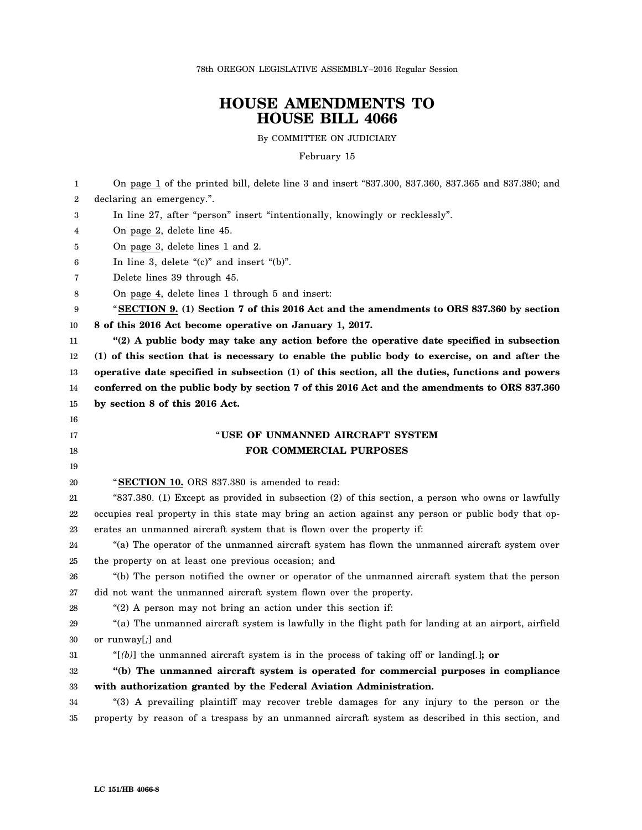78th OREGON LEGISLATIVE ASSEMBLY--2016 Regular Session

## **HOUSE AMENDMENTS TO HOUSE BILL 4066**

By COMMITTEE ON JUDICIARY

February 15

1 2 3 4 5 6 7 8 9 10 11 12 13 14 15 16 17 18 19 20 21 22 23 24 25 26 27 28 29 30 31 32 33 34 35 On page 1 of the printed bill, delete line 3 and insert "837.300, 837.360, 837.365 and 837.380; and declaring an emergency.". In line 27, after "person" insert "intentionally, knowingly or recklessly". On page 2, delete line 45. On page 3, delete lines 1 and 2. In line 3, delete "(c)" and insert "(b)". Delete lines 39 through 45. On page 4, delete lines 1 through 5 and insert: "**SECTION 9. (1) Section 7 of this 2016 Act and the amendments to ORS 837.360 by section 8 of this 2016 Act become operative on January 1, 2017. "(2) A public body may take any action before the operative date specified in subsection (1) of this section that is necessary to enable the public body to exercise, on and after the operative date specified in subsection (1) of this section, all the duties, functions and powers conferred on the public body by section 7 of this 2016 Act and the amendments to ORS 837.360 by section 8 of this 2016 Act.** " **USE OF UNMANNED AIRCRAFT SYSTEM FOR COMMERCIAL PURPOSES** "**SECTION 10.** ORS 837.380 is amended to read: "837.380. (1) Except as provided in subsection (2) of this section, a person who owns or lawfully occupies real property in this state may bring an action against any person or public body that operates an unmanned aircraft system that is flown over the property if: "(a) The operator of the unmanned aircraft system has flown the unmanned aircraft system over the property on at least one previous occasion; and "(b) The person notified the owner or operator of the unmanned aircraft system that the person did not want the unmanned aircraft system flown over the property. "(2) A person may not bring an action under this section if: "(a) The unmanned aircraft system is lawfully in the flight path for landing at an airport, airfield or runway[*;*] and "[*(b)*] the unmanned aircraft system is in the process of taking off or landing[*.*]**; or "(b) The unmanned aircraft system is operated for commercial purposes in compliance with authorization granted by the Federal Aviation Administration.** "(3) A prevailing plaintiff may recover treble damages for any injury to the person or the property by reason of a trespass by an unmanned aircraft system as described in this section, and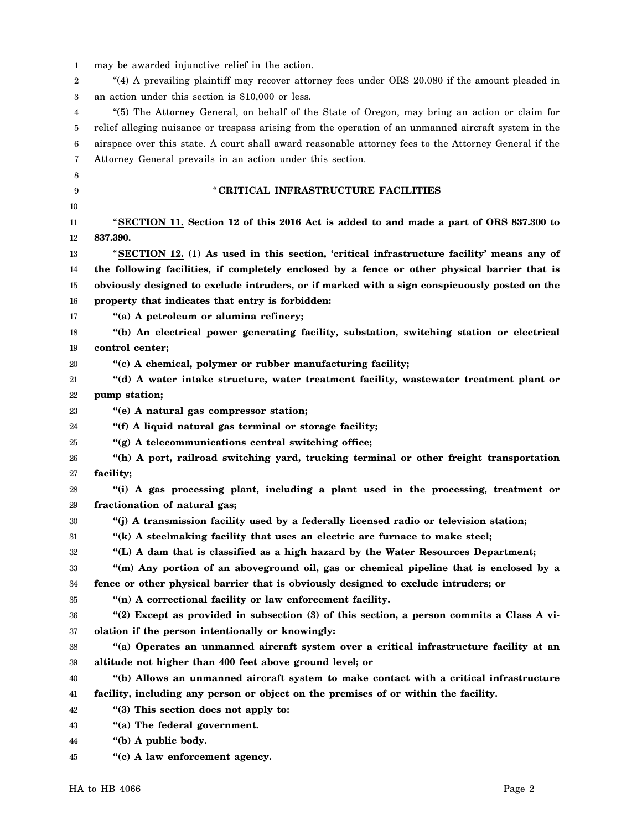| 1  | may be awarded injunctive relief in the action.                                                       |
|----|-------------------------------------------------------------------------------------------------------|
| 2  | "(4) A prevailing plaintiff may recover attorney fees under ORS 20.080 if the amount pleaded in       |
| 3  | an action under this section is \$10,000 or less.                                                     |
| 4  | "(5) The Attorney General, on behalf of the State of Oregon, may bring an action or claim for         |
| 5  | relief alleging nuisance or trespass arising from the operation of an unmanned aircraft system in the |
| 6  | airspace over this state. A court shall award reasonable attorney fees to the Attorney General if the |
| 7  | Attorney General prevails in an action under this section.                                            |
| 8  |                                                                                                       |
| 9  | "CRITICAL INFRASTRUCTURE FACILITIES                                                                   |
| 10 |                                                                                                       |
| 11 | "SECTION 11. Section 12 of this 2016 Act is added to and made a part of ORS 837.300 to                |
| 12 | 837.390.                                                                                              |
| 13 | "SECTION 12. (1) As used in this section, 'critical infrastructure facility' means any of             |
| 14 | the following facilities, if completely enclosed by a fence or other physical barrier that is         |
| 15 | obviously designed to exclude intruders, or if marked with a sign conspicuously posted on the         |
| 16 | property that indicates that entry is forbidden:                                                      |
| 17 | "(a) A petroleum or alumina refinery;                                                                 |
| 18 | "(b) An electrical power generating facility, substation, switching station or electrical             |
| 19 | control center;                                                                                       |
| 20 | "(c) A chemical, polymer or rubber manufacturing facility;                                            |
| 21 | "(d) A water intake structure, water treatment facility, wastewater treatment plant or                |
| 22 | pump station;                                                                                         |
| 23 | "(e) A natural gas compressor station;                                                                |
| 24 | "(f) A liquid natural gas terminal or storage facility;                                               |
| 25 | "(g) A telecommunications central switching office;                                                   |
| 26 | "(h) A port, railroad switching yard, trucking terminal or other freight transportation               |
| 27 | facility;                                                                                             |
| 28 | "(i) A gas processing plant, including a plant used in the processing, treatment or                   |
| 29 | fractionation of natural gas;                                                                         |
| 30 | "(j) A transmission facility used by a federally licensed radio or television station;                |
| 31 | "(k) A steelmaking facility that uses an electric arc furnace to make steel;                          |
| 32 | "(L) A dam that is classified as a high hazard by the Water Resources Department;                     |
| 33 | "(m) Any portion of an aboveground oil, gas or chemical pipeline that is enclosed by a                |
| 34 | fence or other physical barrier that is obviously designed to exclude intruders; or                   |
| 35 | "(n) A correctional facility or law enforcement facility.                                             |
| 36 | "(2) Except as provided in subsection (3) of this section, a person commits a Class A vi-             |
| 37 | olation if the person intentionally or knowingly:                                                     |
| 38 | "(a) Operates an unmanned aircraft system over a critical infrastructure facility at an               |
| 39 | altitude not higher than 400 feet above ground level; or                                              |
| 40 | "(b) Allows an unmanned aircraft system to make contact with a critical infrastructure                |
| 41 | facility, including any person or object on the premises of or within the facility.                   |
| 42 | "(3) This section does not apply to:                                                                  |
| 43 | "(a) The federal government.                                                                          |
| 44 | "(b) A public body.                                                                                   |
| 45 | "(c) A law enforcement agency.                                                                        |